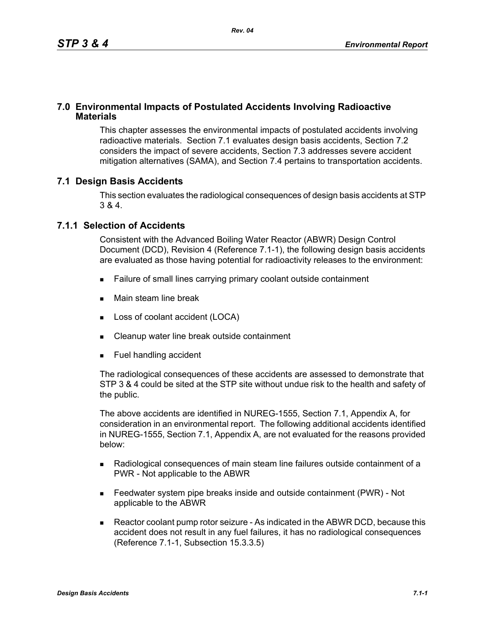### **7.0 Environmental Impacts of Postulated Accidents Involving Radioactive Materials**

This chapter assesses the environmental impacts of postulated accidents involving radioactive materials. Section 7.1 evaluates design basis accidents, Section 7.2 considers the impact of severe accidents, Section 7.3 addresses severe accident mitigation alternatives (SAMA), and Section 7.4 pertains to transportation accidents.

## **7.1 Design Basis Accidents**

This section evaluates the radiological consequences of design basis accidents at STP 3 & 4.

### **7.1.1 Selection of Accidents**

Consistent with the Advanced Boiling Water Reactor (ABWR) Design Control Document (DCD), Revision 4 (Reference 7.1-1), the following design basis accidents are evaluated as those having potential for radioactivity releases to the environment:

- Failure of small lines carrying primary coolant outside containment
- **Main steam line break**
- Loss of coolant accident (LOCA)
- Cleanup water line break outside containment
- **Fuel handling accident**

The radiological consequences of these accidents are assessed to demonstrate that STP 3 & 4 could be sited at the STP site without undue risk to the health and safety of the public.

The above accidents are identified in NUREG-1555, Section 7.1, Appendix A, for consideration in an environmental report. The following additional accidents identified in NUREG-1555, Section 7.1, Appendix A, are not evaluated for the reasons provided below:

- Radiological consequences of main steam line failures outside containment of a PWR - Not applicable to the ABWR
- Feedwater system pipe breaks inside and outside containment (PWR) Not applicable to the ABWR
- Reactor coolant pump rotor seizure As indicated in the ABWR DCD, because this accident does not result in any fuel failures, it has no radiological consequences (Reference 7.1-1, Subsection 15.3.3.5)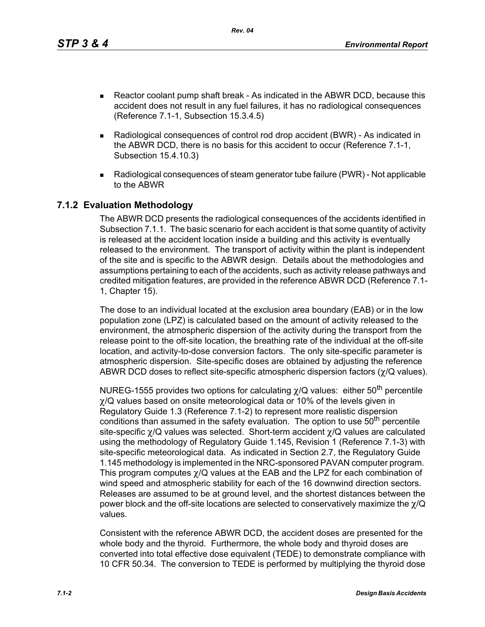*Rev. 04*

- Reactor coolant pump shaft break As indicated in the ABWR DCD, because this accident does not result in any fuel failures, it has no radiological consequences (Reference 7.1-1, Subsection 15.3.4.5)
- Radiological consequences of control rod drop accident (BWR) As indicated in the ABWR DCD, there is no basis for this accident to occur (Reference 7.1-1, Subsection 15.4.10.3)
- Radiological consequences of steam generator tube failure (PWR) Not applicable to the ABWR

## **7.1.2 Evaluation Methodology**

The ABWR DCD presents the radiological consequences of the accidents identified in Subsection 7.1.1. The basic scenario for each accident is that some quantity of activity is released at the accident location inside a building and this activity is eventually released to the environment. The transport of activity within the plant is independent of the site and is specific to the ABWR design. Details about the methodologies and assumptions pertaining to each of the accidents, such as activity release pathways and credited mitigation features, are provided in the reference ABWR DCD (Reference 7.1- 1, Chapter 15).

The dose to an individual located at the exclusion area boundary (EAB) or in the low population zone (LPZ) is calculated based on the amount of activity released to the environment, the atmospheric dispersion of the activity during the transport from the release point to the off-site location, the breathing rate of the individual at the off-site location, and activity-to-dose conversion factors. The only site-specific parameter is atmospheric dispersion. Site-specific doses are obtained by adjusting the reference ABWR DCD doses to reflect site-specific atmospheric dispersion factors (χ/Q values).

NUREG-1555 provides two options for calculating  $\chi$ /Q values: either 50<sup>th</sup> percentile  $\chi$ /Q values based on onsite meteorological data or 10% of the levels given in Regulatory Guide 1.3 (Reference 7.1-2) to represent more realistic dispersion conditions than assumed in the safety evaluation. The option to use 50<sup>th</sup> percentile site-specific χ/Q values was selected. Short-term accident χ/Q values are calculated using the methodology of Regulatory Guide 1.145, Revision 1 (Reference 7.1-3) with site-specific meteorological data. As indicated in Section 2.7, the Regulatory Guide 1.145 methodology is implemented in the NRC-sponsored PAVAN computer program. This program computes χ/Q values at the EAB and the LPZ for each combination of wind speed and atmospheric stability for each of the 16 downwind direction sectors. Releases are assumed to be at ground level, and the shortest distances between the power block and the off-site locations are selected to conservatively maximize the χ/Q values.

Consistent with the reference ABWR DCD, the accident doses are presented for the whole body and the thyroid. Furthermore, the whole body and thyroid doses are converted into total effective dose equivalent (TEDE) to demonstrate compliance with 10 CFR 50.34. The conversion to TEDE is performed by multiplying the thyroid dose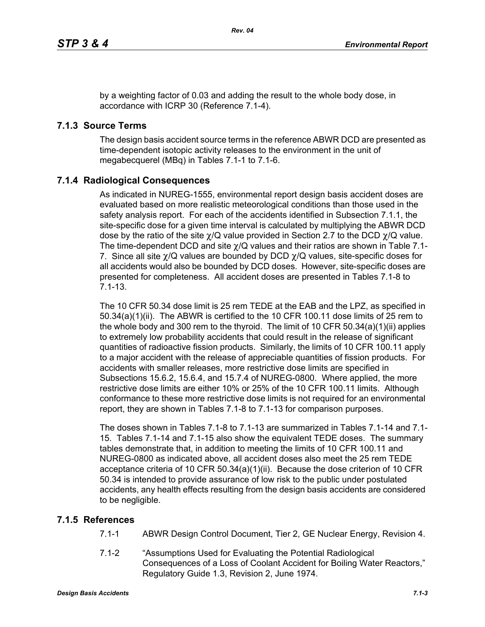by a weighting factor of 0.03 and adding the result to the whole body dose, in accordance with ICRP 30 (Reference 7.1-4).

# **7.1.3 Source Terms**

The design basis accident source terms in the reference ABWR DCD are presented as time-dependent isotopic activity releases to the environment in the unit of megabecquerel (MBq) in Tables 7.1-1 to 7.1-6.

# **7.1.4 Radiological Consequences**

As indicated in NUREG-1555, environmental report design basis accident doses are evaluated based on more realistic meteorological conditions than those used in the safety analysis report. For each of the accidents identified in Subsection 7.1.1, the site-specific dose for a given time interval is calculated by multiplying the ABWR DCD dose by the ratio of the site  $\chi$ /Q value provided in Section 2.7 to the DCD  $\chi$ /Q value. The time-dependent DCD and site χ/Q values and their ratios are shown in Table 7.1- 7. Since all site  $\chi$ /Q values are bounded by DCD  $\chi$ /Q values, site-specific doses for all accidents would also be bounded by DCD doses. However, site-specific doses are presented for completeness. All accident doses are presented in Tables 7.1-8 to 7.1-13.

The 10 CFR 50.34 dose limit is 25 rem TEDE at the EAB and the LPZ, as specified in 50.34(a)(1)(ii). The ABWR is certified to the 10 CFR 100.11 dose limits of 25 rem to the whole body and 300 rem to the thyroid. The limit of 10 CFR 50.34(a)(1)(ii) applies to extremely low probability accidents that could result in the release of significant quantities of radioactive fission products. Similarly, the limits of 10 CFR 100.11 apply to a major accident with the release of appreciable quantities of fission products. For accidents with smaller releases, more restrictive dose limits are specified in Subsections 15.6.2, 15.6.4, and 15.7.4 of NUREG-0800. Where applied, the more restrictive dose limits are either 10% or 25% of the 10 CFR 100.11 limits. Although conformance to these more restrictive dose limits is not required for an environmental report, they are shown in Tables 7.1-8 to 7.1-13 for comparison purposes.

The doses shown in Tables 7.1-8 to 7.1-13 are summarized in Tables 7.1-14 and 7.1- 15. Tables 7.1-14 and 7.1-15 also show the equivalent TEDE doses. The summary tables demonstrate that, in addition to meeting the limits of 10 CFR 100.11 and NUREG-0800 as indicated above, all accident doses also meet the 25 rem TEDE acceptance criteria of 10 CFR 50.34(a)(1)(ii). Because the dose criterion of 10 CFR 50.34 is intended to provide assurance of low risk to the public under postulated accidents, any health effects resulting from the design basis accidents are considered to be negligible.

# **7.1.5 References**

- 7.1-1 ABWR Design Control Document, Tier 2, GE Nuclear Energy, Revision 4.
- 7.1-2 "Assumptions Used for Evaluating the Potential Radiological Consequences of a Loss of Coolant Accident for Boiling Water Reactors," Regulatory Guide 1.3, Revision 2, June 1974.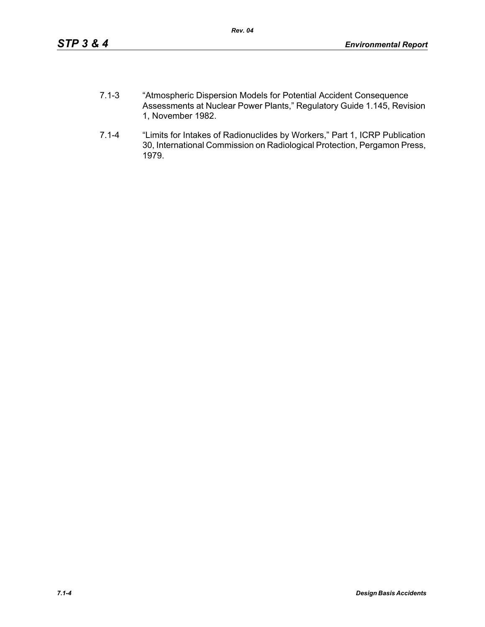- 7.1-3 "Atmospheric Dispersion Models for Potential Accident Consequence Assessments at Nuclear Power Plants," Regulatory Guide 1.145, Revision 1, November 1982.
- 7.1-4 "Limits for Intakes of Radionuclides by Workers," Part 1, ICRP Publication 30, International Commission on Radiological Protection, Pergamon Press, 1979.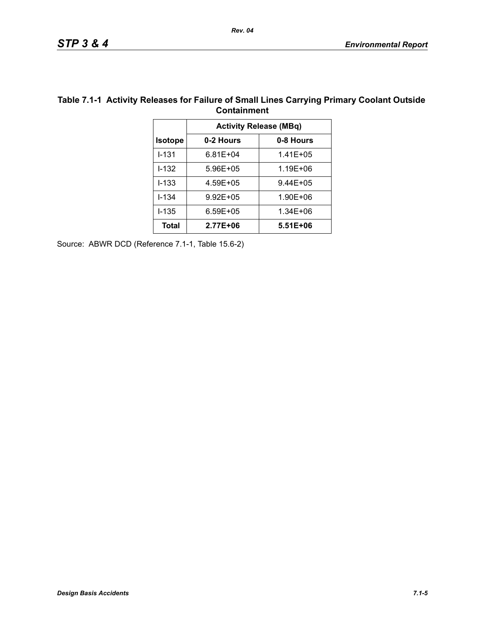|                               | <b>UURILAILINEERIL</b> |               |  |  |  |
|-------------------------------|------------------------|---------------|--|--|--|
| <b>Activity Release (MBq)</b> |                        |               |  |  |  |
| <b>Isotope</b>                | 0-2 Hours<br>0-8 Hours |               |  |  |  |
| $1 - 131$                     | $6.81E + 04$           | $1.41E + 0.5$ |  |  |  |
| $1 - 132$                     | 5.96E+05               | 1.19E+06      |  |  |  |
| $1 - 1.33$                    | 4.59E+05               | $9.44E + 05$  |  |  |  |
| $I - 134$                     | $9.92E + 05$           | 1.90E+06      |  |  |  |
| $1 - 135$                     | $6.59E + 05$           | 1.34E+06      |  |  |  |
| <b>Total</b>                  | 2.77E+06               | 5.51E+06      |  |  |  |
|                               |                        |               |  |  |  |

#### **Table 7.1-1 Activity Releases for Failure of Small Lines Carrying Primary Coolant Outside Containment**

Source: ABWR DCD (Reference 7.1-1, Table 15.6-2)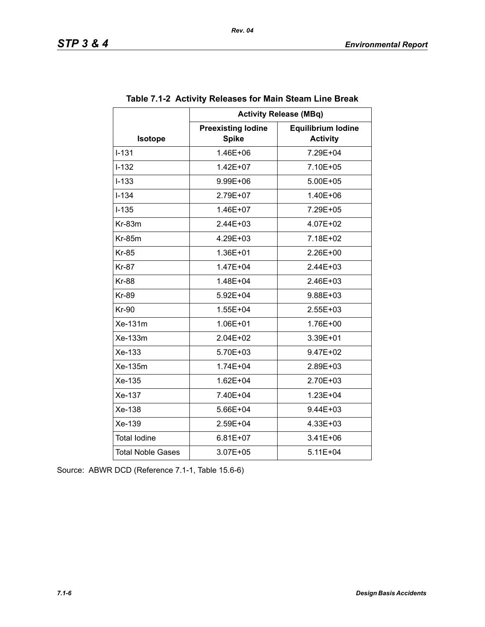|                          | <b>Activity Release (MBq)</b>             |                                              |  |  |  |
|--------------------------|-------------------------------------------|----------------------------------------------|--|--|--|
| Isotope                  | <b>Preexisting lodine</b><br><b>Spike</b> | <b>Equilibrium lodine</b><br><b>Activity</b> |  |  |  |
| $I - 131$                | 1.46E+06                                  | 7.29E+04                                     |  |  |  |
| $I - 132$                | 1.42E+07                                  | 7.10E+05                                     |  |  |  |
| $I-133$                  | 9.99E+06                                  | 5.00E+05                                     |  |  |  |
| $I - 134$                | 2.79E+07                                  | 1.40E+06                                     |  |  |  |
| $I-135$                  | 1.46E+07                                  | 7.29E+05                                     |  |  |  |
| $Kr-83m$                 | $2.44E + 03$                              | 4.07E+02                                     |  |  |  |
| <b>Kr-85m</b>            | 4.29E+03                                  | 7.18E+02                                     |  |  |  |
| <b>Kr-85</b>             | 1.36E+01                                  | 2.26E+00                                     |  |  |  |
| <b>Kr-87</b>             | 1.47E+04                                  | 2.44E+03                                     |  |  |  |
| <b>Kr-88</b>             | 1.48E+04                                  | $2.46E + 03$                                 |  |  |  |
| <b>Kr-89</b>             | 5.92E+04                                  | 9.88E+03                                     |  |  |  |
| <b>Kr-90</b>             | 1.55E+04                                  | 2.55E+03                                     |  |  |  |
| Xe-131m                  | 1.06E+01                                  | 1.76E+00                                     |  |  |  |
| Xe-133m                  | $2.04E + 02$                              | 3.39E+01                                     |  |  |  |
| Xe-133                   | 5.70E+03                                  | 9.47E+02                                     |  |  |  |
| Xe-135m                  | 1.74E+04                                  | 2.89E+03                                     |  |  |  |
| Xe-135                   | 1.62E+04                                  | 2.70E+03                                     |  |  |  |
| Xe-137                   | 7.40E+04                                  | 1.23E+04                                     |  |  |  |
| Xe-138                   | 5.66E+04                                  | 9.44E+03                                     |  |  |  |
| Xe-139                   | 2.59E+04                                  | 4.33E+03                                     |  |  |  |
| <b>Total lodine</b>      | $6.81E+07$                                | $3.41E + 06$                                 |  |  |  |
| <b>Total Noble Gases</b> | 3.07E+05                                  | 5.11E+04                                     |  |  |  |

### **Table 7.1-2 Activity Releases for Main Steam Line Break**

Source: ABWR DCD (Reference 7.1-1, Table 15.6-6)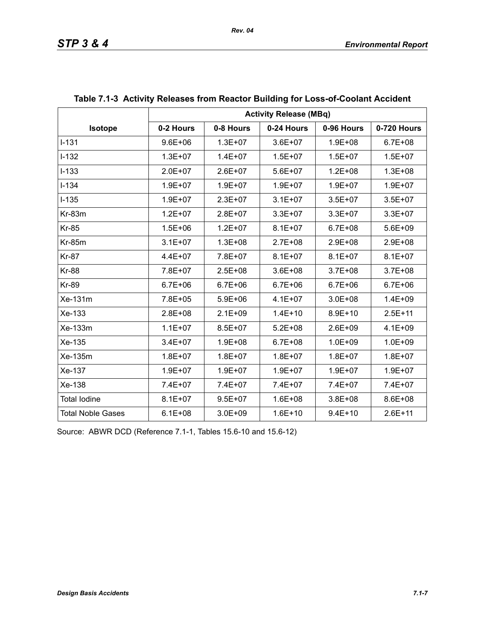|                          | <b>Activity Release (MBq)</b> |             |             |             |             |
|--------------------------|-------------------------------|-------------|-------------|-------------|-------------|
| Isotope                  | 0-2 Hours                     | 0-8 Hours   | 0-24 Hours  | 0-96 Hours  | 0-720 Hours |
| $I-131$                  | $9.6E + 06$                   | $1.3E + 07$ | $3.6E + 07$ | $1.9E + 08$ | $6.7E + 08$ |
| $I-132$                  | $1.3E + 07$                   | $1.4E + 07$ | $1.5E + 07$ | $1.5E + 07$ | $1.5E + 07$ |
| $I-133$                  | $2.0E + 07$                   | $2.6E + 07$ | $5.6E + 07$ | $1.2E + 08$ | $1.3E + 08$ |
| $I - 134$                | 1.9E+07                       | $1.9E + 07$ | $1.9E + 07$ | $1.9E + 07$ | $1.9E + 07$ |
| $I-135$                  | $1.9E + 07$                   | $2.3E + 07$ | $3.1E + 07$ | $3.5E + 07$ | $3.5E + 07$ |
| Kr-83m                   | $1.2E + 07$                   | $2.8E + 07$ | $3.3E + 07$ | $3.3E + 07$ | $3.3E + 07$ |
| <b>Kr-85</b>             | $1.5E + 06$                   | $1.2E + 07$ | $8.1E + 07$ | $6.7E + 08$ | 5.6E+09     |
| <b>Kr-85m</b>            | $3.1E + 07$                   | $1.3E + 08$ | 2.7E+08     | $2.9E + 08$ | 2.9E+08     |
| <b>Kr-87</b>             | $4.4E + 07$                   | 7.8E+07     | $8.1E + 07$ | $8.1E + 07$ | $8.1E + 07$ |
| <b>Kr-88</b>             | 7.8E+07                       | $2.5E + 08$ | $3.6E + 08$ | $3.7E + 08$ | $3.7E + 08$ |
| <b>Kr-89</b>             | $6.7E + 06$                   | $6.7E + 06$ | $6.7E + 06$ | $6.7E + 06$ | $6.7E + 06$ |
| Xe-131m                  | 7.8E+05                       | $5.9E + 06$ | $4.1E + 07$ | $3.0E + 08$ | $1.4E + 09$ |
| Xe-133                   | 2.8E+08                       | $2.1E + 09$ | $1.4E + 10$ | $8.9E + 10$ | $2.5E + 11$ |
| Xe-133m                  | $1.1E + 07$                   | $8.5E + 07$ | $5.2E + 08$ | $2.6E + 09$ | $4.1E + 09$ |
| Xe-135                   | $3.4E + 07$                   | $1.9E + 08$ | $6.7E + 08$ | $1.0E + 09$ | $1.0E + 09$ |
| Xe-135m                  | $1.8E + 07$                   | $1.8E + 07$ | $1.8E + 07$ | $1.8E + 07$ | $1.8E + 07$ |
| Xe-137                   | $1.9E + 07$                   | $1.9E + 07$ | $1.9E + 07$ | $1.9E + 07$ | $1.9E + 07$ |
| Xe-138                   | 7.4E+07                       | 7.4E+07     | 7.4E+07     | 7.4E+07     | 7.4E+07     |
| <b>Total lodine</b>      | $8.1E + 07$                   | $9.5E + 07$ | $1.6E + 08$ | $3.8E + 08$ | 8.6E+08     |
| <b>Total Noble Gases</b> | $6.1E + 08$                   | $3.0E + 09$ | $1.6E + 10$ | $9.4E + 10$ | $2.6E + 11$ |

## **Table 7.1-3 Activity Releases from Reactor Building for Loss-of-Coolant Accident**

Source: ABWR DCD (Reference 7.1-1, Tables 15.6-10 and 15.6-12)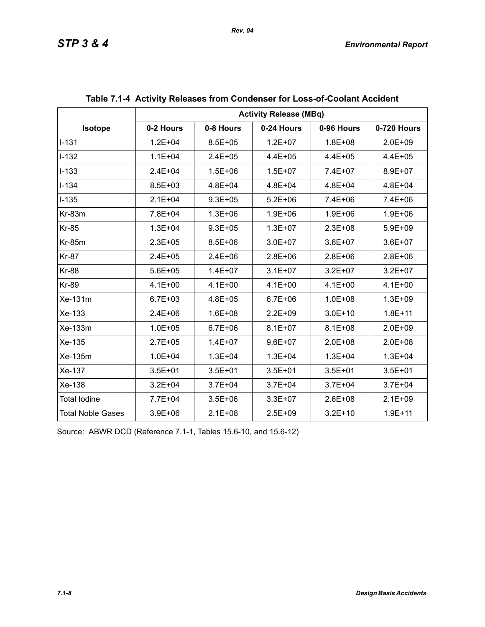|                          | <b>Activity Release (MBq)</b> |             |             |             |             |  |
|--------------------------|-------------------------------|-------------|-------------|-------------|-------------|--|
| <b>Isotope</b>           | 0-2 Hours                     | 0-8 Hours   | 0-24 Hours  | 0-96 Hours  | 0-720 Hours |  |
| $I - 131$                | $1.2E + 04$                   | $8.5E + 05$ | $1.2E + 07$ | $1.8E + 08$ | $2.0E + 09$ |  |
| $I-132$                  | $1.1E + 04$                   | $2.4E + 05$ | $4.4E + 05$ | $4.4E + 05$ | $4.4E + 05$ |  |
| $I-133$                  | $2.4E + 04$                   | $1.5E + 06$ | $1.5E + 07$ | 7.4E+07     | 8.9E+07     |  |
| $I - 134$                | 8.5E+03                       | $4.8E + 04$ | $4.8E + 04$ | $4.8E + 04$ | $4.8E + 04$ |  |
| $I-135$                  | $2.1E + 04$                   | $9.3E + 05$ | $5.2E + 06$ | $7.4E + 06$ | $7.4E + 06$ |  |
| $Kr-83m$                 | 7.8E+04                       | $1.3E + 06$ | $1.9E + 06$ | $1.9E + 06$ | $1.9E + 06$ |  |
| <b>Kr-85</b>             | $1.3E + 04$                   | $9.3E + 05$ | $1.3E + 07$ | $2.3E + 08$ | $5.9E + 09$ |  |
| <b>Kr-85m</b>            | $2.3E + 05$                   | $8.5E + 06$ | $3.0E + 07$ | $3.6E + 07$ | $3.6E + 07$ |  |
| <b>Kr-87</b>             | $2.4E + 05$                   | $2.4E + 06$ | $2.8E + 06$ | $2.8E + 06$ | $2.8E + 06$ |  |
| <b>Kr-88</b>             | $5.6E + 05$                   | $1.4E + 07$ | $3.1E + 07$ | $3.2E + 07$ | $3.2E + 07$ |  |
| <b>Kr-89</b>             | $4.1E + 00$                   | $4.1E + 00$ | $4.1E + 00$ | $4.1E + 00$ | $4.1E + 00$ |  |
| Xe-131m                  | $6.7E + 03$                   | $4.8E + 05$ | $6.7E + 06$ | $1.0E + 08$ | $1.3E + 09$ |  |
| Xe-133                   | $2.4E + 06$                   | $1.6E + 08$ | $2.2E + 09$ | $3.0E + 10$ | $1.8E + 11$ |  |
| Xe-133m                  | $1.0E + 05$                   | $6.7E + 06$ | $8.1E + 07$ | $8.1E + 08$ | $2.0E + 09$ |  |
| Xe-135                   | $2.7E + 05$                   | $1.4E + 07$ | $9.6E + 07$ | $2.0E + 08$ | $2.0E + 08$ |  |
| Xe-135m                  | $1.0E + 04$                   | $1.3E + 04$ | $1.3E + 04$ | $1.3E + 04$ | $1.3E + 04$ |  |
| Xe-137                   | $3.5E + 01$                   | $3.5E + 01$ | $3.5E + 01$ | $3.5E + 01$ | $3.5E + 01$ |  |
| Xe-138                   | $3.2E + 04$                   | $3.7E + 04$ | $3.7E + 04$ | $3.7E + 04$ | $3.7E + 04$ |  |
| <b>Total lodine</b>      | 7.7E+04                       | $3.5E + 06$ | $3.3E + 07$ | $2.6E + 08$ | $2.1E + 09$ |  |
| <b>Total Noble Gases</b> | $3.9E + 06$                   | $2.1E + 08$ | $2.5E + 09$ | $3.2E + 10$ | $1.9E + 11$ |  |

| Table 7.1-4 Activity Releases from Condenser for Loss-of-Coolant Accident |  |  |
|---------------------------------------------------------------------------|--|--|
|                                                                           |  |  |

Source: ABWR DCD (Reference 7.1-1, Tables 15.6-10, and 15.6-12)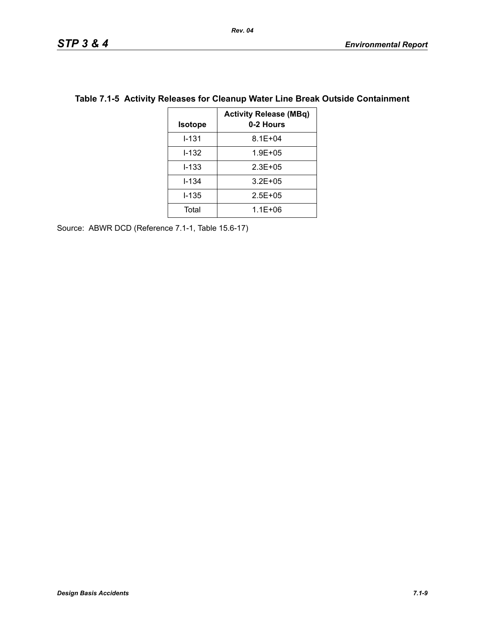| <b>Isotope</b> | <b>Activity Release (MBq)</b><br>0-2 Hours |
|----------------|--------------------------------------------|
| I-131          | $8.1E + 04$                                |
| I-132          | $1.9E + 0.5$                               |
| l-133          | $2.3E + 0.5$                               |
| l-134          | $3.2E + 05$                                |
| l-135          | $2.5E + 0.5$                               |
| Total          | $1.1E + 06$                                |

## **Table 7.1-5 Activity Releases for Cleanup Water Line Break Outside Containment**

Source: ABWR DCD (Reference 7.1-1, Table 15.6-17)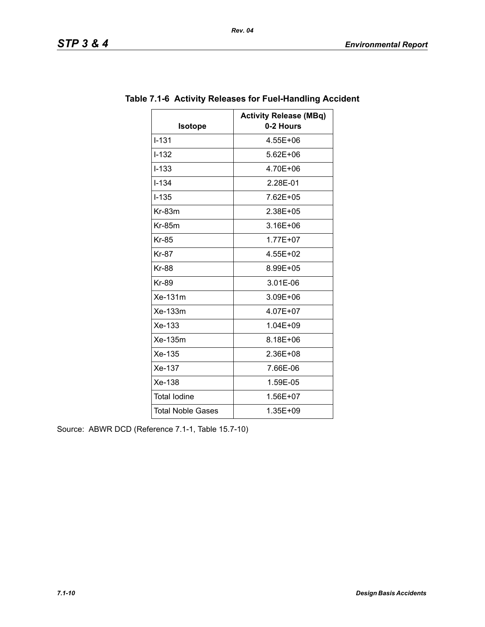| Isotope                  | <b>Activity Release (MBq)</b><br>0-2 Hours |
|--------------------------|--------------------------------------------|
| $I - 131$                | 4.55E+06                                   |
| $I - 132$                | $5.62E + 06$                               |
| $I-133$                  | 4.70E+06                                   |
| $1 - 1.34$               | 2.28E-01                                   |
| $I - 135$                | 7.62E+05                                   |
| $Kr-83m$                 | 2.38E+05                                   |
| $Kr-85m$                 | $3.16E + 06$                               |
| <b>Kr-85</b>             | 1.77E+07                                   |
| <b>Kr-87</b>             | 4.55E+02                                   |
| <b>Kr-88</b>             | 8.99E+05                                   |
| Kr-89                    | 3.01E-06                                   |
| Xe-131m                  | 3.09E+06                                   |
| Xe-133m                  | 4.07E+07                                   |
| $Xe-133$                 | 1.04E+09                                   |
| Xe-135m                  | 8.18E+06                                   |
| Xe-135                   | 2.36E+08                                   |
| Xe-137                   | 7.66E-06                                   |
| Xe-138                   | 1.59E-05                                   |
| <b>Total lodine</b>      | 1.56E+07                                   |
| <b>Total Noble Gases</b> | 1.35E+09                                   |

# **Table 7.1-6 Activity Releases for Fuel-Handling Accident**

Source: ABWR DCD (Reference 7.1-1, Table 15.7-10)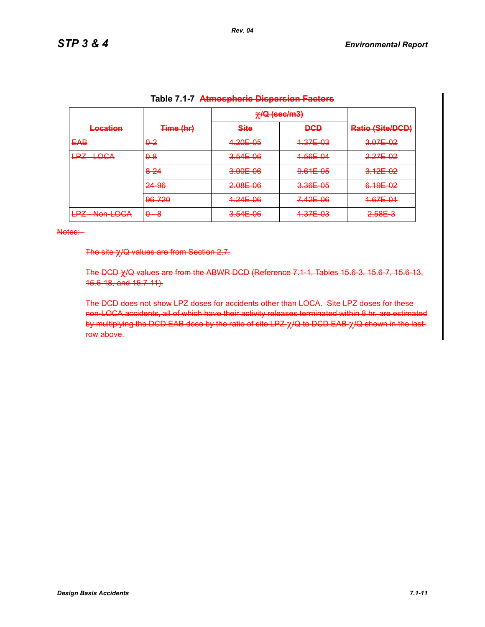|                                                     |              | $\chi$ IQ (sec/m3) |            |                                             |
|-----------------------------------------------------|--------------|--------------------|------------|---------------------------------------------|
| Location<br><b>INVESTIGATION</b>                    | Time (hr)    | <b>Site</b>        | <b>DGD</b> | Datio (Sito/DCD)<br><b>NGULO MUNICIPIAL</b> |
| <b>EAB</b>                                          | $0-2$        | 4.20E-05           | 4.37E-03   | 3.07E-02                                    |
| $\pm$ OGA<br>I D7<br>▅▀                             | $\theta - 8$ | $3.54E-06$         | 4.56E-04   | 2.27E-02                                    |
|                                                     | 8-24         | 3.00E-06           | 9.61E-05   | 3.12E-02                                    |
|                                                     | 24 96        | 2.08E-06           | 3.36E-05   | 6.19E-02                                    |
|                                                     | 96-720       | 4.24E-06           | 7.42E-06   | 4.67E-04                                    |
| I D7.<br>$N$ on $LOCA$<br>▅▀<br><del>won Loon</del> | $0 - 8$      | 3.54E-06           | 4.37E-03   | <del>2.58E 3</del>                          |

| Table 7.1-7 Atmospheric Dispersion Factors |  |  |
|--------------------------------------------|--|--|
|                                            |  |  |

The site χ/Q values are from Section 2.7.

The DCD χ/Q values are from the ABWR DCD (Reference 7.1-1, Tables 15.6-3, 15.6-7, 15.6-13, 15.6-18, and 15.7-11).

The DCD does not show LPZ doses for accidents other than LOCA. Site LPZ doses for these non-LOCA accidents, all of which have their activity releases terminated within 8 hr, are estimated by multiplying the DCD EAB dose by the ratio of site LPZ  $χ$ /Q to DCD EAB  $χ$ /Q shown in the lastrow above.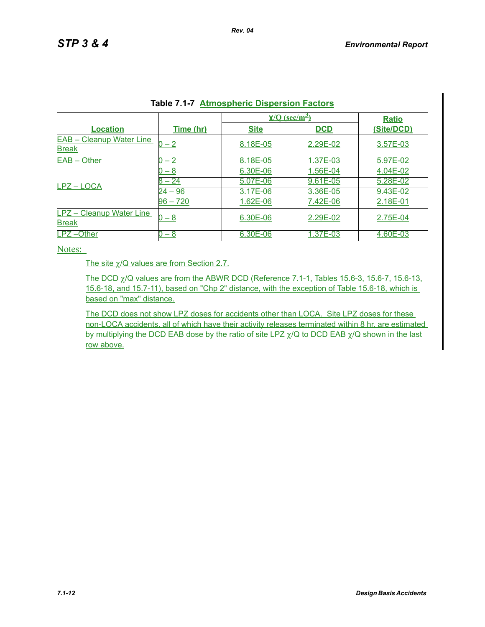| .<br><u>Athlophone Diopoloidi I actord</u>      |            |             |                                         |              |  |  |
|-------------------------------------------------|------------|-------------|-----------------------------------------|--------------|--|--|
|                                                 |            |             | $\underline{Y/O}$ (sec/m <sup>2</sup> ) |              |  |  |
| <b>Location</b>                                 | Time (hr)  | <b>Site</b> | <b>DCD</b>                              | (Site/DCD)   |  |  |
| <b>EAB - Cleanup Water Line</b><br><b>Break</b> | 0 – 2      | 8.18E-05    | 2.29E-02                                | 3.57E-03     |  |  |
| EAB - Other                                     | $-2$       | 8.18E-05    | 1.37E-03                                | 5.97E-02     |  |  |
|                                                 | $-8$       | 6.30E-06    | 1.56E-04                                | 4.04E-02     |  |  |
| LPZ-LOCA                                        | 24         | 5.07E-06    | $9.61E - 05$                            | 5.28E-02     |  |  |
|                                                 | $-96$      | 3.17E-06    | 3.36E-05                                | 9.43E-02     |  |  |
|                                                 | $96 - 720$ | 1.62E-06    | 7.42E-06                                | 2.18E-01     |  |  |
| <b>LPZ</b> - Cleanup Water Line<br><b>Break</b> | 0 – 8      | 6.30E-06    | 2.29E-02                                | 2.75E-04     |  |  |
| LPZ-Other                                       | $-8$       | 6.30E-06    | 1.37E-03                                | $4.60E - 03$ |  |  |

|  |  | <b>Table 7.1-7 Atmospheric Dispersion Factors</b> |  |  |
|--|--|---------------------------------------------------|--|--|
|--|--|---------------------------------------------------|--|--|

The site χ/Q values are from Section 2.7.

The DCD χ/Q values are from the ABWR DCD (Reference 7.1-1, Tables 15.6-3, 15.6-7, 15.6-13, 15.6-18, and 15.7-11), based on "Chp 2" distance, with the exception of Table 15.6-18, which is based on "max" distance.

The DCD does not show LPZ doses for accidents other than LOCA. Site LPZ doses for these non-LOCA accidents, all of which have their activity releases terminated within 8 hr, are estimated by multiplying the DCD EAB dose by the ratio of site LPZ  $\gamma$ /Q to DCD EAB  $\gamma$ /Q shown in the last row above.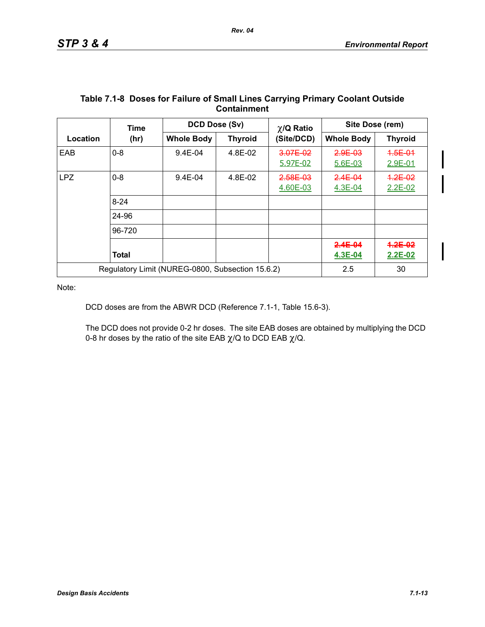|            | Time                                             | DCD Dose (Sv)     |                | $\chi$ /Q Ratio      | Site Dose (rem)        |                          |
|------------|--------------------------------------------------|-------------------|----------------|----------------------|------------------------|--------------------------|
| Location   | (hr)                                             | <b>Whole Body</b> | <b>Thyroid</b> | (Site/DCD)           | <b>Whole Body</b>      | <b>Thyroid</b>           |
| EAB        | $0 - 8$                                          | $9.4E - 04$       | 4.8E-02        | 3.07E-02<br>5.97E-02 | 2.9E-03<br>5.6E-03     | 4.5E-01<br>2.9E-01       |
| <b>LPZ</b> | $0 - 8$                                          | 9.4E-04           | 4.8E-02        | 2.58E-03<br>4.60E-03 | $2.4E - 04$<br>4.3E-04 | $4.2E - 02$<br>$2.2E-02$ |
|            | $8 - 24$                                         |                   |                |                      |                        |                          |
|            | 24-96                                            |                   |                |                      |                        |                          |
|            | 96-720                                           |                   |                |                      |                        |                          |
|            | <b>Total</b>                                     |                   |                |                      | $2.4E - 04$<br>4.3E-04 | $4.2E - 0.2$<br>2.2E-02  |
|            | Regulatory Limit (NUREG-0800, Subsection 15.6.2) |                   |                |                      | 2.5                    | 30                       |

#### **Table 7.1-8 Doses for Failure of Small Lines Carrying Primary Coolant Outside Containment**

Note:

DCD doses are from the ABWR DCD (Reference 7.1-1, Table 15.6-3).

The DCD does not provide 0-2 hr doses. The site EAB doses are obtained by multiplying the DCD 0-8 hr doses by the ratio of the site EAB  $\chi$ /Q to DCD EAB  $\chi$ /Q.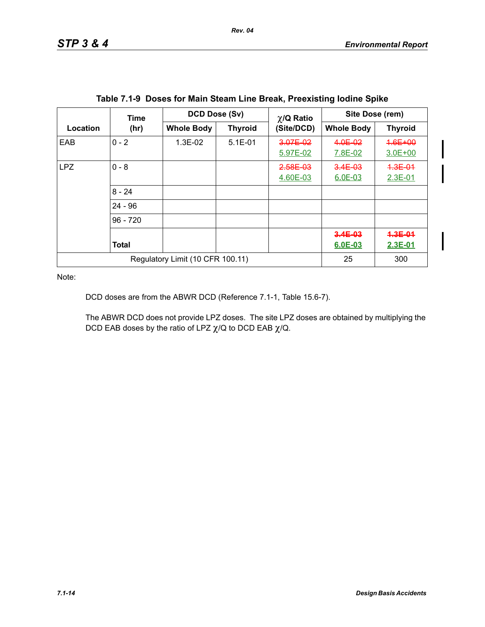|                                  | <b>Time</b>  | DCD Dose (Sv)     |                | $\chi$ /Q Ratio      | Site Dose (rem)            |                          |
|----------------------------------|--------------|-------------------|----------------|----------------------|----------------------------|--------------------------|
| Location                         | (hr)         | <b>Whole Body</b> | <b>Thyroid</b> | (Site/DCD)           | <b>Whole Body</b>          | <b>Thyroid</b>           |
| EAB                              | $0 - 2$      | 1.3E-02           | $5.1E-01$      | 3.07E-02<br>5.97E-02 | 4.0E-02<br>7.8E-02         | 4.6E+00<br>$3.0E + 00$   |
| <b>LPZ</b>                       | $0 - 8$      |                   |                | 2.58E-03<br>4.60E-03 | $3.4E - 03$<br>6.0E-03     | $4.3E - 01$<br>$2.3E-01$ |
|                                  | $8 - 24$     |                   |                |                      |                            |                          |
|                                  | $24 - 96$    |                   |                |                      |                            |                          |
|                                  | $96 - 720$   |                   |                |                      |                            |                          |
|                                  | <b>Total</b> |                   |                |                      | $3.4E - 03$<br>$6.0E - 03$ | $4.3E - 01$<br>2.3E-01   |
| Regulatory Limit (10 CFR 100.11) |              |                   |                |                      | 25                         | 300                      |

|  | Table 7.1-9 Doses for Main Steam Line Break, Preexisting lodine Spike |  |  |
|--|-----------------------------------------------------------------------|--|--|
|  |                                                                       |  |  |

DCD doses are from the ABWR DCD (Reference 7.1-1, Table 15.6-7).

The ABWR DCD does not provide LPZ doses. The site LPZ doses are obtained by multiplying the DCD EAB doses by the ratio of LPZ  $\chi$ /Q to DCD EAB  $\chi$ /Q.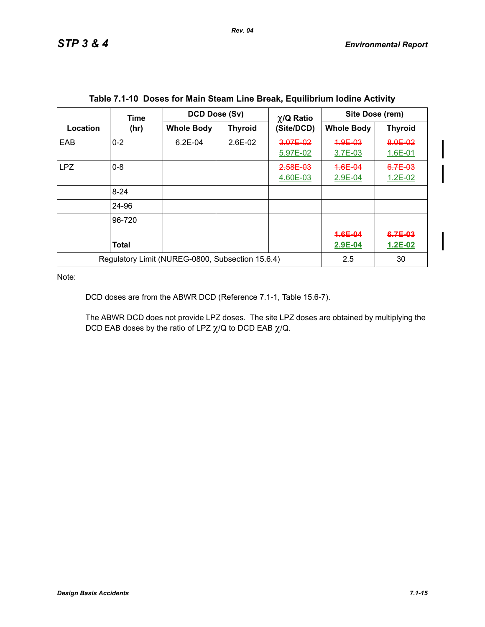|                                                  | <b>Time</b>  | DCD Dose (Sv)     |                | $\chi$ /Q Ratio      | Site Dose (rem)    |                          |
|--------------------------------------------------|--------------|-------------------|----------------|----------------------|--------------------|--------------------------|
| Location                                         | (hr)         | <b>Whole Body</b> | <b>Thyroid</b> | (Site/DCD)           | <b>Whole Body</b>  | <b>Thyroid</b>           |
| EAB                                              | $0 - 2$      | $6.2E - 04$       | $2.6E-02$      | 3.07E-02<br>5.97E-02 | 4.9E-03<br>3.7E-03 | 8.0E-02<br>$1.6E - 01$   |
| <b>LPZ</b>                                       | $0 - 8$      |                   |                | 2.58E-03<br>4.60E-03 | 4.6E-04<br>2.9E-04 | 6.7E-03<br>$1.2E - 02$   |
|                                                  | $8 - 24$     |                   |                |                      |                    |                          |
|                                                  | 24-96        |                   |                |                      |                    |                          |
|                                                  | 96-720       |                   |                |                      |                    |                          |
|                                                  | <b>Total</b> |                   |                |                      | 4.6E-04<br>2.9E-04 | $6.7E-03$<br>$1.2E - 02$ |
| Regulatory Limit (NUREG-0800, Subsection 15.6.4) |              |                   |                |                      | 2.5                | 30                       |

DCD doses are from the ABWR DCD (Reference 7.1-1, Table 15.6-7).

The ABWR DCD does not provide LPZ doses. The site LPZ doses are obtained by multiplying the DCD EAB doses by the ratio of LPZ  $\chi$ /Q to DCD EAB  $\chi$ /Q.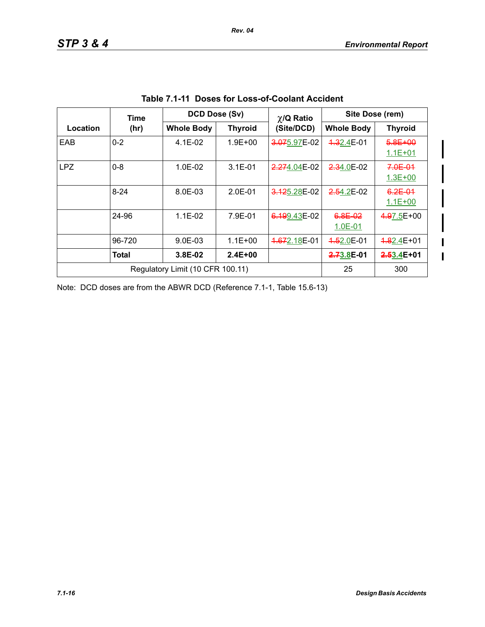$\mathbf{I}$  $\mathbf{I}$ 

|            | Time                             | DCD Dose (Sv)     |                |              | Site Dose (rem)<br>$\chi$ /Q Ratio |                            |
|------------|----------------------------------|-------------------|----------------|--------------|------------------------------------|----------------------------|
| Location   | (hr)                             | <b>Whole Body</b> | <b>Thyroid</b> | (Site/DCD)   | <b>Whole Body</b>                  | <b>Thyroid</b>             |
| EAB        | $0 - 2$                          | $4.1E-02$         | $1.9E + 00$    | 3.075.97E-02 | 4.32.4E-01                         | 5.8E+00<br>$1.1E + 01$     |
| <b>LPZ</b> | $0 - 8$                          | $1.0E-02$         | $3.1E - 01$    | 2.274.04E-02 | 2.34.0E-02                         | $7.0E - 01$<br>$1.3E + 00$ |
|            | $8 - 24$                         | 8.0E-03           | $2.0E-01$      | 3.125.28E-02 | $2.54.2E-02$                       | $6.2E - 01$<br>$1.1E + 00$ |
|            | 24-96                            | $1.1E-02$         | 7.9E-01        | 6.199.43E-02 | 6.8E-02<br>$1.0E - 01$             | 4.97.5E+00                 |
|            | 96-720                           | $9.0E-03$         | $1.1E + 00$    | 4.672.18E-01 | 4.52.0E-01                         | <del>1.8</del> 2.4E+01     |
|            | Total                            | $3.8E-02$         | $2.4E + 00$    |              | 2.73.8E-01                         | $2.63.4E + 01$             |
|            | Regulatory Limit (10 CFR 100.11) | 25                | 300            |              |                                    |                            |

|  |  | Table 7.1-11 Doses for Loss-of-Coolant Accident |  |
|--|--|-------------------------------------------------|--|
|--|--|-------------------------------------------------|--|

Note: DCD doses are from the ABWR DCD (Reference 7.1-1, Table 15.6-13)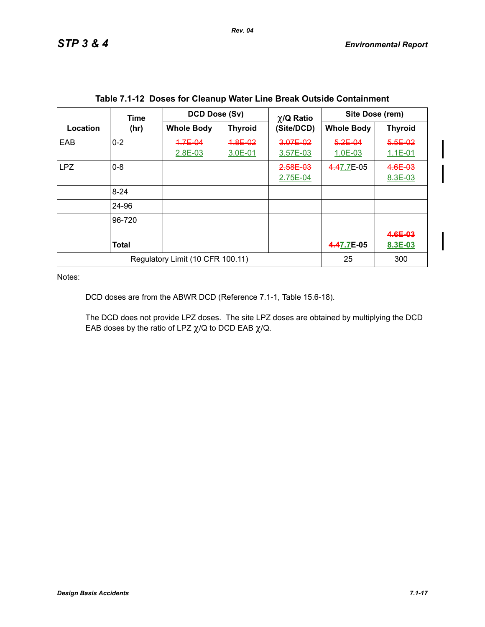|                                  | Time         | DCD Dose (Sv)      |                    |                      | Site Dose (rem)<br>$\chi$ /Q Ratio |                            |
|----------------------------------|--------------|--------------------|--------------------|----------------------|------------------------------------|----------------------------|
| Location                         | (hr)         | <b>Whole Body</b>  | <b>Thyroid</b>     | (Site/DCD)           | <b>Whole Body</b>                  | <b>Thyroid</b>             |
| EAB                              | $0 - 2$      | 4.7E-04<br>2.8E-03 | 4.8E-02<br>3.0E-01 | 3.07E-02<br>3.57E-03 | $5.2E - 04$<br>1.0E-03             | $5.5E - 02$<br>$1.1E - 01$ |
| <b>LPZ</b>                       | $0 - 8$      |                    |                    | 2.58E-03<br>2.75E-04 | 4.47.7E-05                         | 4.6E-03<br>8.3E-03         |
|                                  | $8 - 24$     |                    |                    |                      |                                    |                            |
|                                  | 24-96        |                    |                    |                      |                                    |                            |
|                                  | 96-720       |                    |                    |                      |                                    |                            |
|                                  | <b>Total</b> |                    |                    |                      | 4.47.7E-05                         | 4.6E-03<br>8.3E-03         |
| Regulatory Limit (10 CFR 100.11) |              |                    |                    |                      | 25                                 | 300                        |

DCD doses are from the ABWR DCD (Reference 7.1-1, Table 15.6-18).

The DCD does not provide LPZ doses. The site LPZ doses are obtained by multiplying the DCD EAB doses by the ratio of LPZ  $\chi$ /Q to DCD EAB  $\chi$ /Q.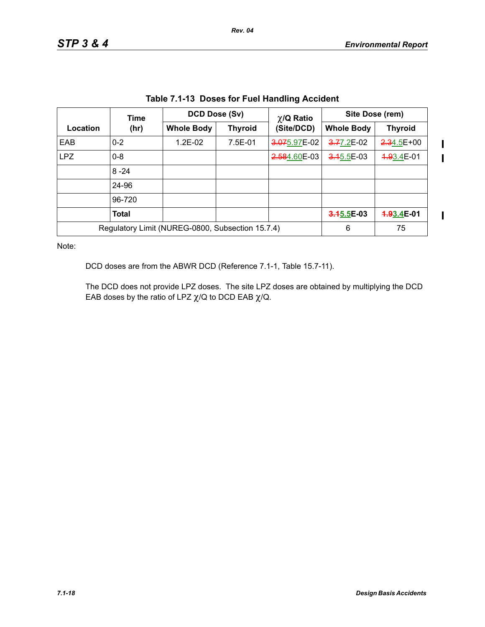$\mathbf I$  $\mathbf I$ 

 $\overline{\mathbf{I}}$ 

| Table 7.1-13 DOSES for Fuel Handling Accident |                                                  |                   |                |                 |                   |                |  |  |
|-----------------------------------------------|--------------------------------------------------|-------------------|----------------|-----------------|-------------------|----------------|--|--|
|                                               | Time                                             |                   | DCD Dose (Sv)  | $\chi$ /Q Ratio | Site Dose (rem)   |                |  |  |
| Location                                      | (hr)                                             | <b>Whole Body</b> | <b>Thyroid</b> | (Site/DCD)      | <b>Whole Body</b> | <b>Thyroid</b> |  |  |
| EAB                                           | $0 - 2$                                          | $1.2E-02$         | 7.5E-01        | 3.075.97E-02    | 3.77.2E-02        | $2.34.5E+00$   |  |  |
| <b>LPZ</b>                                    | $0 - 8$                                          |                   |                | 2.584.60E-03    | $3.15.5E-03$      | 4.93.4E-01     |  |  |
|                                               | $8 - 24$                                         |                   |                |                 |                   |                |  |  |
|                                               | 24-96                                            |                   |                |                 |                   |                |  |  |
|                                               | 96-720                                           |                   |                |                 |                   |                |  |  |
|                                               | <b>Total</b>                                     |                   |                |                 | $3.45.5E-03$      | 4.93.4E-01     |  |  |
|                                               | Regulatory Limit (NUREG-0800, Subsection 15.7.4) | 6                 | 75             |                 |                   |                |  |  |

**Table 7.1-13 Doses for Fuel Handling Accident**

Note:

DCD doses are from the ABWR DCD (Reference 7.1-1, Table 15.7-11).

The DCD does not provide LPZ doses. The site LPZ doses are obtained by multiplying the DCD EAB doses by the ratio of LPZ  $\chi$ /Q to DCD EAB  $\chi$ /Q.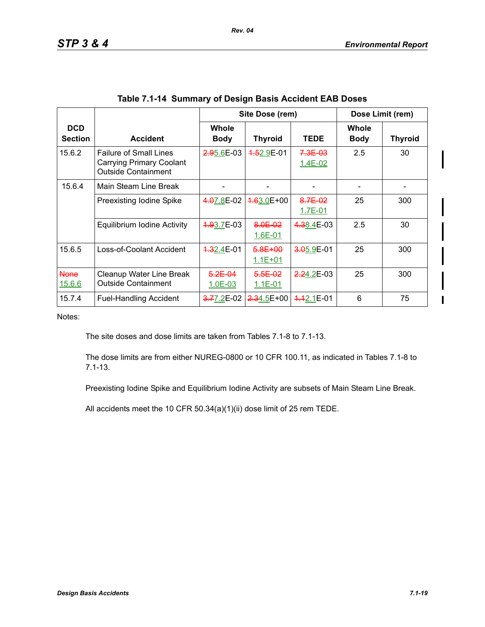|                              |                                                                                         |                          | Site Dose (rem)             |                            |                             | Dose Limit (rem) |
|------------------------------|-----------------------------------------------------------------------------------------|--------------------------|-----------------------------|----------------------------|-----------------------------|------------------|
| <b>DCD</b><br><b>Section</b> | <b>Accident</b>                                                                         | Whole<br><b>Body</b>     | <b>Thyroid</b>              | <b>TEDE</b>                | <b>Whole</b><br><b>Body</b> | <b>Thyroid</b>   |
| 15.6.2                       | <b>Failure of Small Lines</b><br>Carrying Primary Coolant<br><b>Outside Containment</b> | 2.95.6E-03               | 4.52.9E-01                  | $7.3E - 03$<br>$1.4E - 02$ | 2.5                         | 30               |
| 15.6.4                       | Main Steam Line Break                                                                   |                          |                             |                            |                             |                  |
|                              | Preexisting Iodine Spike                                                                | 4.07.8E-02               | 4.63.0E+00                  | 8.7E-02<br>1.7E-01         | 25                          | 300              |
|                              | Equilibrium Iodine Activity                                                             | 4.93.7E-03               | 8.0E-02<br>$1.6E-01$        | 4.38.4E-03                 | 2.5                         | 30               |
| 15.6.5                       | Loss-of-Coolant Accident                                                                | 4.32.4E-01               | $-6.8E + 00$<br>$1.1E + 01$ | 3.05.9E-01                 | 25                          | 300              |
| <b>None</b><br>15.6.6        | Cleanup Water Line Break<br><b>Outside Containment</b>                                  | $5.2E - 04$<br>$1.0E-03$ | $5.5E - 02$<br>$1.1E - 01$  | $2.24.2E-03$               | 25                          | 300              |
| 15.7.4                       | <b>Fuel-Handling Accident</b>                                                           | <del>3.7</del> 7.2E-02   | $2.34.5E+00$                | 4.42.1E-01                 | 6                           | 75               |

| Table 7.1-14 Summary of Design Basis Accident EAB Doses |  |  |  |  |
|---------------------------------------------------------|--|--|--|--|
|---------------------------------------------------------|--|--|--|--|

The site doses and dose limits are taken from Tables 7.1-8 to 7.1-13.

The dose limits are from either NUREG-0800 or 10 CFR 100.11, as indicated in Tables 7.1-8 to 7.1-13.

Preexisting Iodine Spike and Equilibrium Iodine Activity are subsets of Main Steam Line Break.

All accidents meet the 10 CFR 50.34(a)(1)(ii) dose limit of 25 rem TEDE.